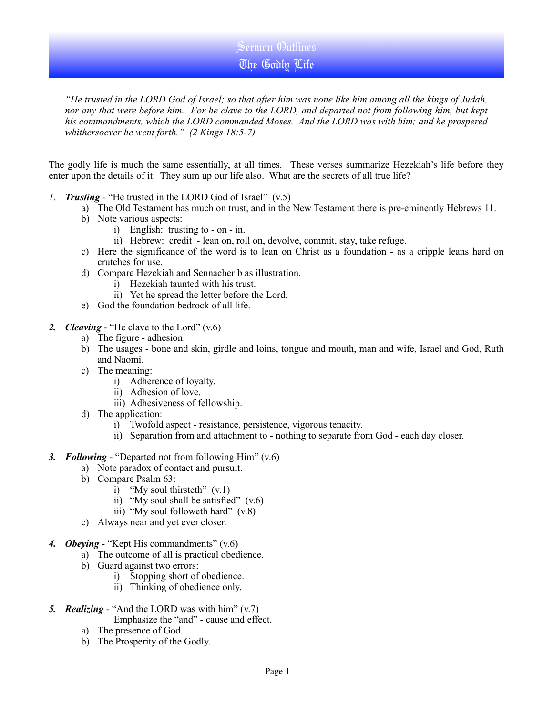Sermon Outlines The Godly Life

*"He trusted in the LORD God of Israel; so that after him was none like him among all the kings of Judah, nor any that were before him. For he clave to the LORD, and departed not from following him, but kept his commandments, which the LORD commanded Moses. And the LORD was with him; and he prospered whithersoever he went forth." (2 Kings 18:5-7)*

The godly life is much the same essentially, at all times. These verses summarize Hezekiah's life before they enter upon the details of it. They sum up our life also. What are the secrets of all true life?

- *1. Trusting* "He trusted in the LORD God of Israel" (v.5)
	- a) The Old Testament has much on trust, and in the New Testament there is pre-eminently Hebrews 11.
	- b) Note various aspects:
		- i) English: trusting to on in.
		- ii) Hebrew: credit lean on, roll on, devolve, commit, stay, take refuge.
	- c) Here the significance of the word is to lean on Christ as a foundation as a cripple leans hard on crutches for use.
	- d) Compare Hezekiah and Sennacherib as illustration.
		- i) Hezekiah taunted with his trust.
		- ii) Yet he spread the letter before the Lord.
	- e) God the foundation bedrock of all life.
- *2. Cleaving* "He clave to the Lord" (v.6)
	- a) The figure adhesion.
	- b) The usages bone and skin, girdle and loins, tongue and mouth, man and wife, Israel and God, Ruth and Naomi.
	- c) The meaning:
		- i) Adherence of loyalty.
		- ii) Adhesion of love.
		- iii) Adhesiveness of fellowship.
	- d) The application:
		- i) Twofold aspect resistance, persistence, vigorous tenacity.
		- ii) Separation from and attachment to nothing to separate from God each day closer.
- *3. Following* "Departed not from following Him" (v.6)
	- a) Note paradox of contact and pursuit.
	- b) Compare Psalm 63:
		- i) "My soul thirsteth"  $(v.1)$
		- ii) "My soul shall be satisfied"  $(v.6)$
		- iii) "My soul followeth hard"  $(v.8)$
	- c) Always near and yet ever closer.
- *4. Obeying* "Kept His commandments" (v.6)
	- a) The outcome of all is practical obedience.
	- b) Guard against two errors:
		- i) Stopping short of obedience.
		- ii) Thinking of obedience only.
- *5. Realizing* "And the LORD was with him" (v.7) Emphasize the "and" - cause and effect.
	- a) The presence of God.
	- b) The Prosperity of the Godly.